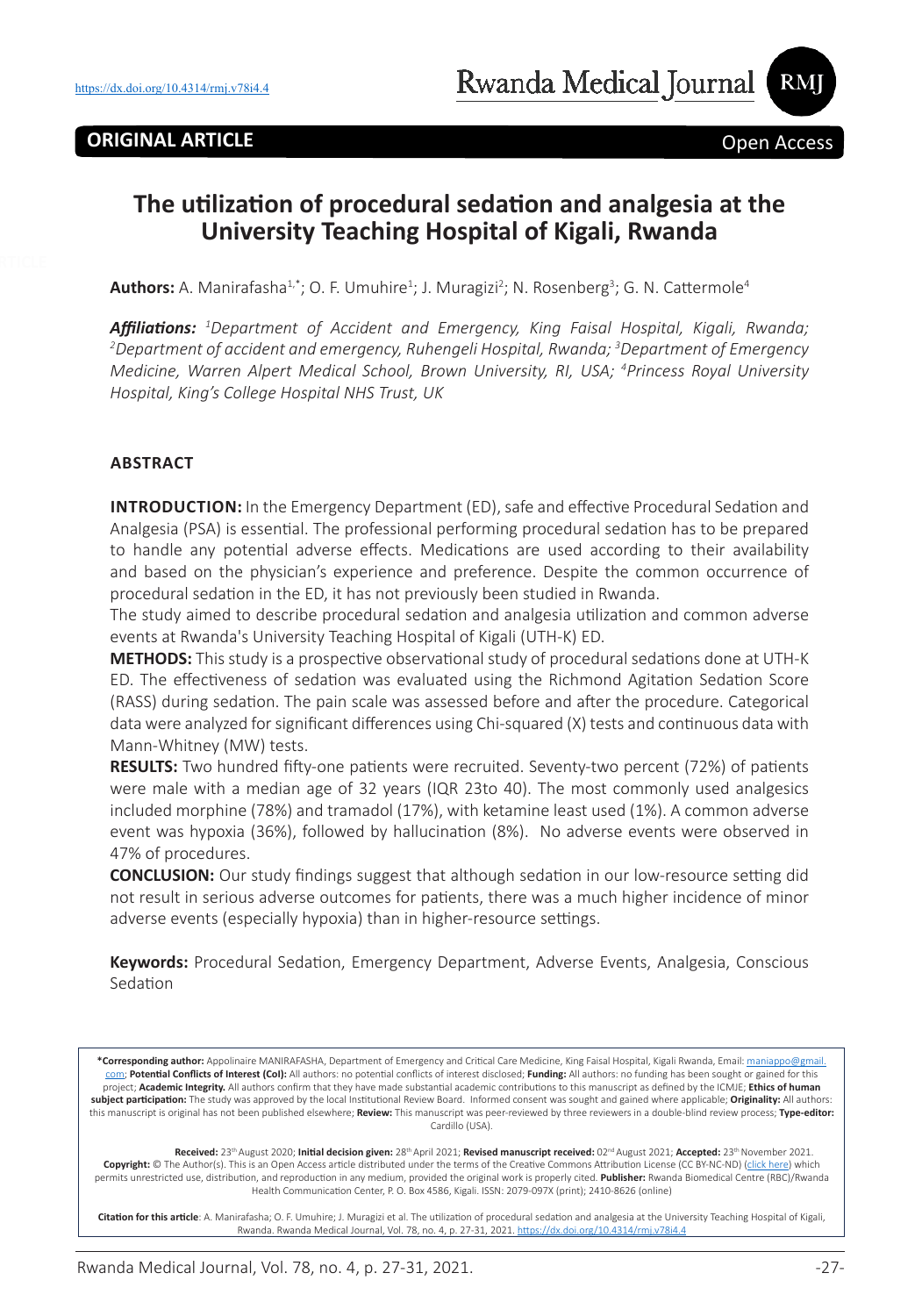# **The utilization of procedural sedation and analgesia at the University Teaching Hospital of Kigali, Rwanda**

**Authors:** A. Manirafasha<sup>1,\*</sup>; O. F. Umuhire<sup>1</sup>; J. Muragizi<sup>2</sup>; N. Rosenberg<sup>3</sup>; G. N. Cattermole<sup>4</sup>

*Affiliations: <sup>1</sup> Department of Accident and Emergency, King Faisal Hospital, Kigali, Rwanda; 2 Department of accident and emergency, Ruhengeli Hospital, Rwanda; 3 Department of Emergency Medicine, Warren Alpert Medical School, Brown University, RI, USA; 4 Princess Royal University Hospital, King's College Hospital NHS Trust, UK*

#### **ABSTRACT**

**INTRODUCTION:** In the Emergency Department (ED), safe and effective Procedural Sedation and Analgesia (PSA) is essential. The professional performing procedural sedation has to be prepared to handle any potential adverse effects. Medications are used according to their availability and based on the physician's experience and preference. Despite the common occurrence of procedural sedation in the ED, it has not previously been studied in Rwanda.

The study aimed to describe procedural sedation and analgesia utilization and common adverse events at Rwanda's University Teaching Hospital of Kigali (UTH-K) ED.

**METHODS:** This study is a prospective observational study of procedural sedations done at UTH-K ED. The effectiveness of sedation was evaluated using the Richmond Agitation Sedation Score (RASS) during sedation. The pain scale was assessed before and after the procedure. Categorical data were analyzed for significant differences using Chi-squared (X) tests and continuous data with Mann-Whitney (MW) tests.

**RESULTS:** Two hundred fifty-one patients were recruited. Seventy-two percent (72%) of patients were male with a median age of 32 years (IQR 23to 40). The most commonly used analgesics included morphine (78%) and tramadol (17%), with ketamine least used (1%). A common adverse event was hypoxia (36%), followed by hallucination (8%). No adverse events were observed in 47% of procedures.

**CONCLUSION:** Our study findings suggest that although sedation in our low-resource setting did not result in serious adverse outcomes for patients, there was a much higher incidence of minor adverse events (especially hypoxia) than in higher-resource settings.

**Keywords:** Procedural Sedation, Emergency Department, Adverse Events, Analgesia, Conscious Sedation

**\*Corresponding author:** Appolinaire MANIRAFASHA, Department of Emergency and Critical Care Medicine, King Faisal Hospital, Kigali Rwanda, Email: maniappo@gmail. com; **Potential Conflicts of Interest (CoI):** All authors: no potential conflicts of interest disclosed; **Funding:** All authors: no funding has been sought or gained for this project; **Academic Integrity.** All authors confirm that they have made substantial academic contributions to this manuscript as defined by the ICMJE; **Ethics of human subject participation:** The study was approved by the local Institutional Review Board. Informed consent was sought and gained where applicable; **Originality:** All authors: this manuscript is original has not been published elsewhere; **Review:** This manuscript was peer-reviewed by three reviewers in a double-blind review process; **Type-editor:** Cardillo (USA).

Received: 23<sup>th</sup> August 2020; Initial decision given: 28<sup>th</sup> April 2021; Revised manuscript received: 02<sup>nd</sup> August 2021; Accepted: 23<sup>th</sup> November 2021. **Copyright:** © The Author(s). This is an Open Access article distributed under the terms of the Creative Commons Attribution License (CC BY-NC-ND) (click here) which permits unrestricted use, distribution, and reproduction in any medium, provided the original work is properly cited. **Publisher:** Rwanda Biomedical Centre (RBC)/Rwanda Health Communication Center, P. O. Box 4586, Kigali. ISSN: 2079-097X (print); 2410-8626 (online)

**Citation for this article**: A. Manirafasha; O. F. Umuhire; J. Muragizi et al. The utilization of procedural sedation and analgesia at the University Teaching Hospital of Kigali, Rwanda. Rwanda Medical Journal, Vol. 78, no. 4, p. 27-31, 2021. https://dx.doi.org/10.4314/rmj.v78i4.4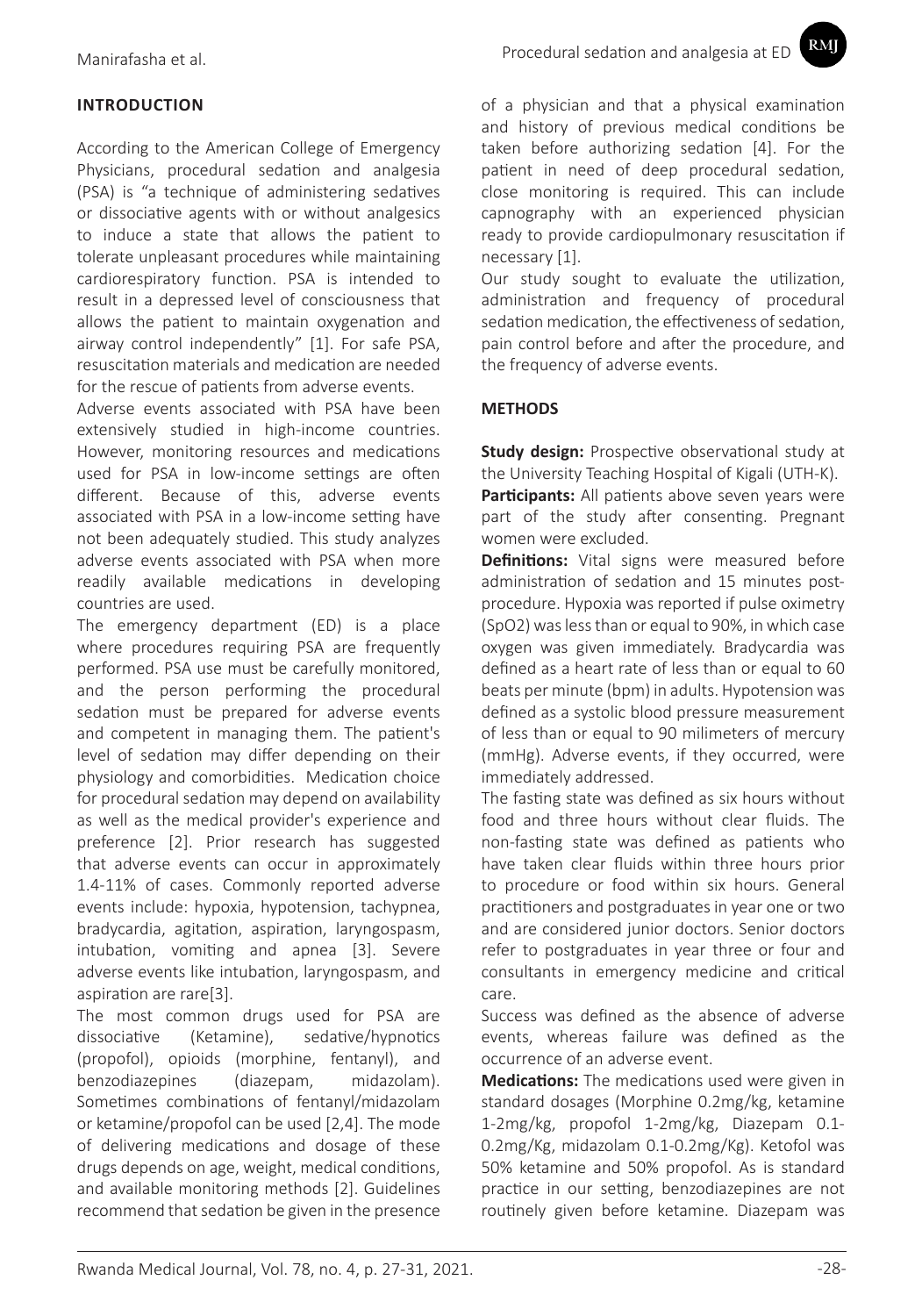## **INTRODUCTION**

According to the American College of Emergency Physicians, procedural sedation and analgesia (PSA) is "a technique of administering sedatives or dissociative agents with or without analgesics to induce a state that allows the patient to tolerate unpleasant procedures while maintaining cardiorespiratory function. PSA is intended to result in a depressed level of consciousness that allows the patient to maintain oxygenation and airway control independently" [1]. For safe PSA, resuscitation materials and medication are needed for the rescue of patients from adverse events.

Adverse events associated with PSA have been extensively studied in high-income countries. However, monitoring resources and medications used for PSA in low-income settings are often different. Because of this, adverse events associated with PSA in a low-income setting have not been adequately studied. This study analyzes adverse events associated with PSA when more readily available medications in developing countries are used.

The emergency department (ED) is a place where procedures requiring PSA are frequently performed. PSA use must be carefully monitored, and the person performing the procedural sedation must be prepared for adverse events and competent in managing them. The patient's level of sedation may differ depending on their physiology and comorbidities. Medication choice for procedural sedation may depend on availability as well as the medical provider's experience and preference [2]. Prior research has suggested that adverse events can occur in approximately 1.4-11% of cases. Commonly reported adverse events include: hypoxia, hypotension, tachypnea, bradycardia, agitation, aspiration, laryngospasm, intubation, vomiting and apnea [3]. Severe adverse events like intubation, laryngospasm, and aspiration are rare[3].

The most common drugs used for PSA are dissociative (Ketamine), sedative/hypnotics (propofol), opioids (morphine, fentanyl), and benzodiazepines (diazepam, midazolam). Sometimes combinations of fentanyl/midazolam or ketamine/propofol can be used [2,4]. The mode of delivering medications and dosage of these drugs depends on age, weight, medical conditions, and available monitoring methods [2]. Guidelines recommend that sedation be given in the presence

of a physician and that a physical examination and history of previous medical conditions be taken before authorizing sedation [4]. For the patient in need of deep procedural sedation, close monitoring is required. This can include capnography with an experienced physician ready to provide cardiopulmonary resuscitation if necessary [1].

Our study sought to evaluate the utilization, administration and frequency of procedural sedation medication, the effectiveness of sedation, pain control before and after the procedure, and the frequency of adverse events.

## **METHODS**

**Study design:** Prospective observational study at the University Teaching Hospital of Kigali (UTH-K).

**Participants:** All patients above seven years were part of the study after consenting. Pregnant women were excluded.

**Definitions:** Vital signs were measured before administration of sedation and 15 minutes postprocedure. Hypoxia was reported if pulse oximetry (SpO2) was less than or equal to 90%, in which case oxygen was given immediately. Bradycardia was defined as a heart rate of less than or equal to 60 beats per minute (bpm) in adults. Hypotension was defined as a systolic blood pressure measurement of less than or equal to 90 milimeters of mercury (mmHg). Adverse events, if they occurred, were immediately addressed.

The fasting state was defined as six hours without food and three hours without clear fluids. The non-fasting state was defined as patients who have taken clear fluids within three hours prior to procedure or food within six hours. General practitioners and postgraduates in year one or two and are considered junior doctors. Senior doctors refer to postgraduates in year three or four and consultants in emergency medicine and critical care.

Success was defined as the absence of adverse events, whereas failure was defined as the occurrence of an adverse event.

**Medications:** The medications used were given in standard dosages (Morphine 0.2mg/kg, ketamine 1-2mg/kg, propofol 1-2mg/kg, Diazepam 0.1- 0.2mg/Kg, midazolam 0.1-0.2mg/Kg). Ketofol was 50% ketamine and 50% propofol. As is standard practice in our setting, benzodiazepines are not routinely given before ketamine. Diazepam was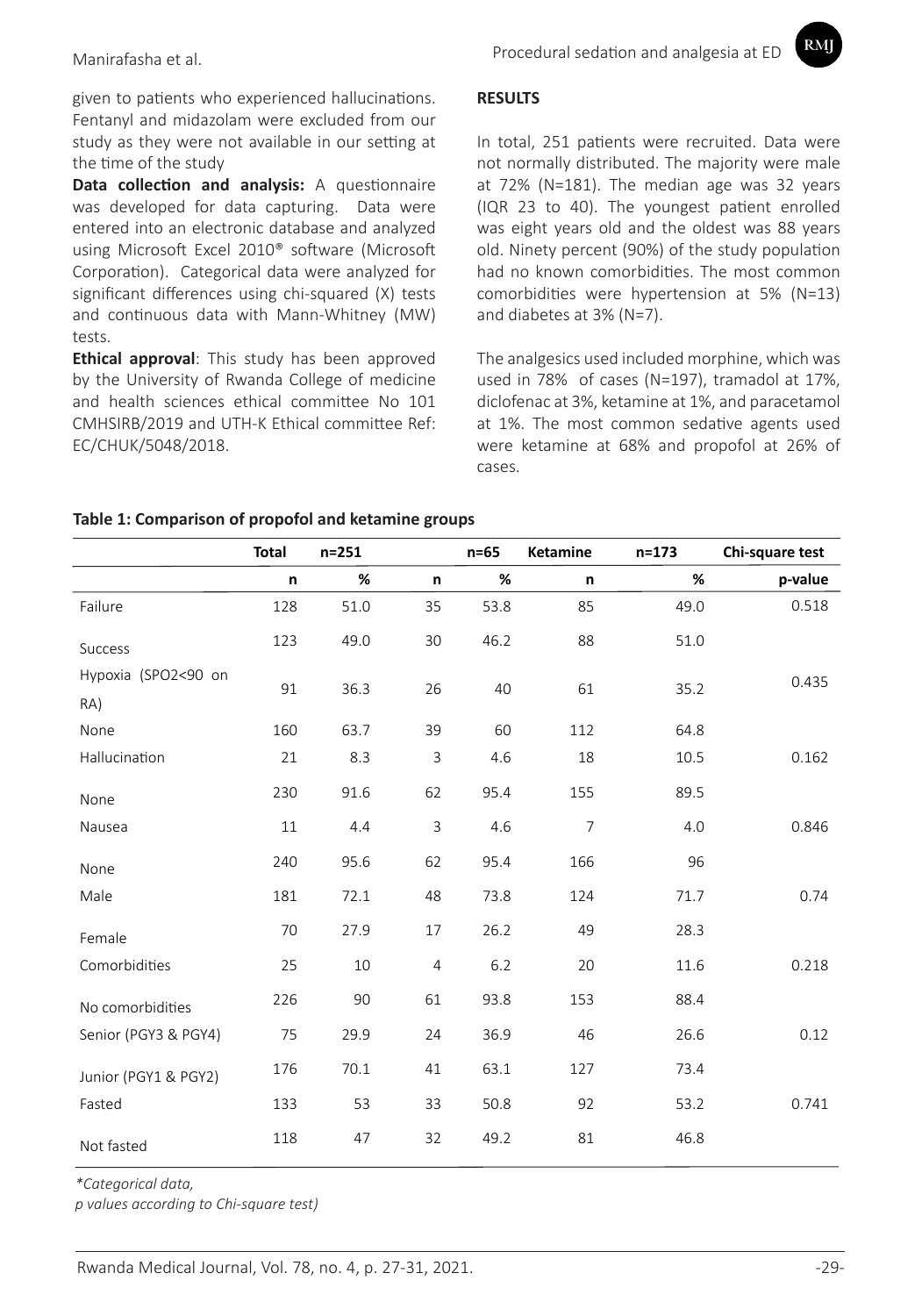RMI

given to patients who experienced hallucinations. Fentanyl and midazolam were excluded from our study as they were not available in our setting at the time of the study

**Data collection and analysis:** A questionnaire was developed for data capturing. Data were entered into an electronic database and analyzed using Microsoft Excel 2010® software (Microsoft Corporation). Categorical data were analyzed for significant differences using chi-squared (X) tests and continuous data with Mann-Whitney (MW) tests.

**Ethical approval**: This study has been approved by the University of Rwanda College of medicine and health sciences ethical committee No 101 CMHSIRB/2019 and UTH-K Ethical committee Ref: EC/CHUK/5048/2018.

#### **RESULTS**

In total, 251 patients were recruited. Data were not normally distributed. The majority were male at 72% (N=181). The median age was 32 years (IQR 23 to 40). The youngest patient enrolled was eight years old and the oldest was 88 years old. Ninety percent (90%) of the study population had no known comorbidities. The most common comorbidities were hypertension at 5% (N=13) and diabetes at 3% (N=7).

The analgesics used included morphine, which was used in 78% of cases (N=197), tramadol at 17%, diclofenac at 3%, ketamine at 1%, and paracetamol at 1%. The most common sedative agents used were ketamine at 68% and propofol at 26% of cases.

# **Total n=251 n=65 Ketamine n=173 Chi-square test n % n % n % p-value** Failure 128 51.0 35 53.8 85 49.0 0.518 Success 123 49.0 30 46.2 88 51.0 Hypoxia (SPO2<90 on RA) <sup>91</sup> 36.3 <sup>26</sup> <sup>40</sup> <sup>61</sup> 35.2 0.435 None 160 63.7 39 60 112 64.8 Hallucination 21 8.3 3 4.6 18 10.5 0.162 None 230 91.6 62 95.4 155 89.5 Nausea 11 4.4 3 4.6 7 4.0 0.846 None 240 95.6 62 95.4 166 96 Male 181 72.1 48 73.8 124 71.7 0.74 Female <sup>70</sup> 27.9 <sup>17</sup> 26.2 <sup>49</sup> 28.3 Comorbidities 25 10 4 6.2 20 11.6 0.218 No comorbidities <sup>226</sup> <sup>90</sup> <sup>61</sup> 93.8 <sup>153</sup> 88.4 Senior (PGY3 & PGY4) 75 29.9 24 36.9 46 26.6 0.12 Junior (PGY1 & PGY2) 176 70.1 41 63.1 127 73.4 Fasted 133 53 33 50.8 92 53.2 0.741 Not fasted 118 47 32 49.2 81 46.8

#### **Table 1: Comparison of propofol and ketamine groups**

*\*Categorical data,* 

*p values according to Chi-square test)*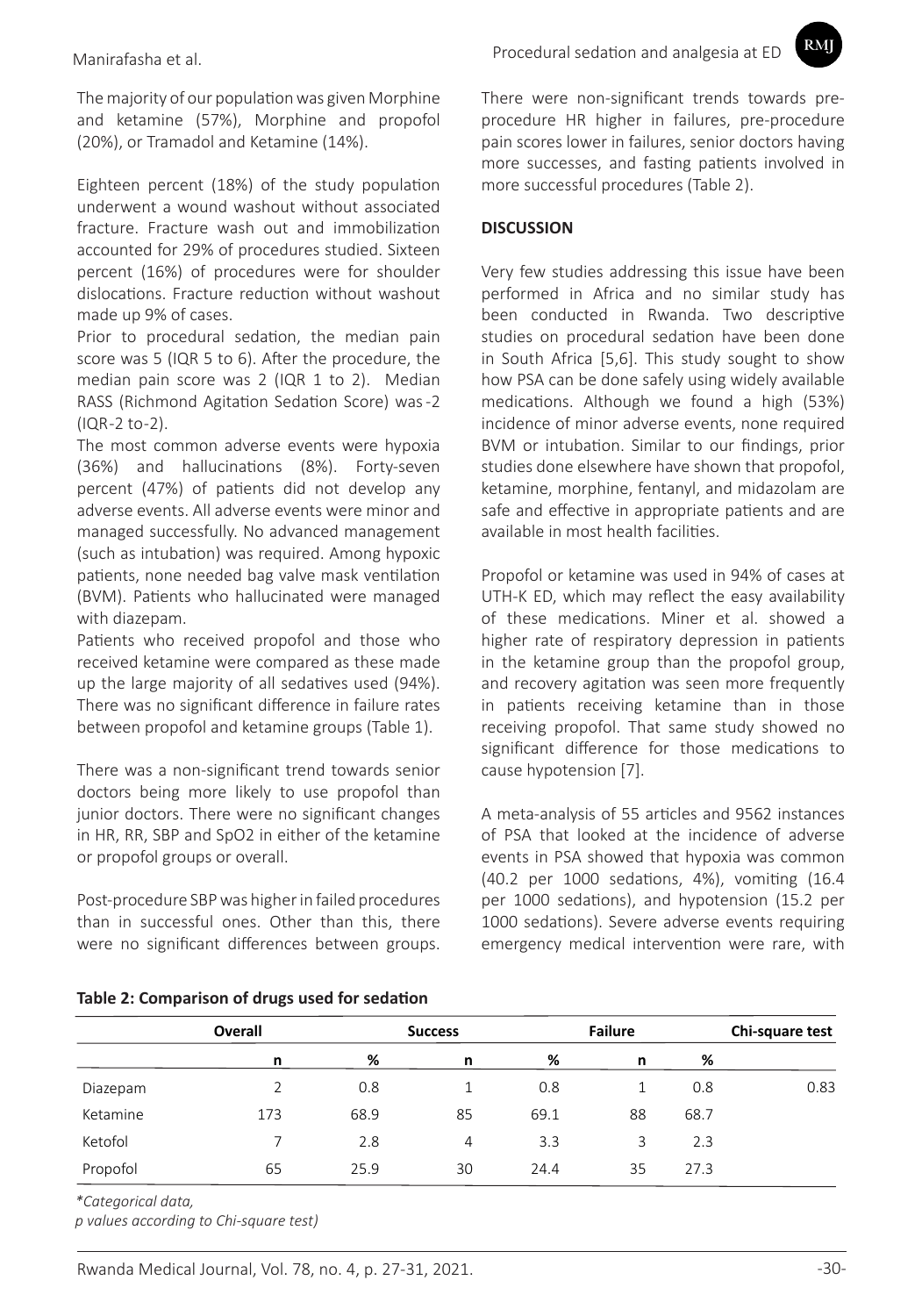The majority of our population was given Morphine and ketamine (57%), Morphine and propofol (20%), or Tramadol and Ketamine (14%).

Eighteen percent (18%) of the study population underwent a wound washout without associated fracture. Fracture wash out and immobilization accounted for 29% of procedures studied. Sixteen percent (16%) of procedures were for shoulder dislocations. Fracture reduction without washout made up 9% of cases.

Prior to procedural sedation, the median pain score was 5 (IQR 5 to 6). After the procedure, the median pain score was 2 (IQR 1 to 2). Median RASS (Richmond Agitation Sedation Score) was -2 (IQR -2 to -2).

The most common adverse events were hypoxia (36%) and hallucinations (8%). Forty-seven percent (47%) of patients did not develop any adverse events. All adverse events were minor and managed successfully. No advanced management (such as intubation) was required. Among hypoxic patients, none needed bag valve mask ventilation (BVM). Patients who hallucinated were managed with diazepam.

Patients who received propofol and those who received ketamine were compared as these made up the large majority of all sedatives used (94%). There was no significant difference in failure rates between propofol and ketamine groups (Table 1).

There was a non-significant trend towards senior doctors being more likely to use propofol than junior doctors. There were no significant changes in HR, RR, SBP and SpO2 in either of the ketamine or propofol groups or overall.

Post-procedure SBP was higher in failed procedures than in successful ones. Other than this, there were no significant differences between groups.



There were non-significant trends towards preprocedure HR higher in failures, pre-procedure pain scores lower in failures, senior doctors having more successes, and fasting patients involved in more successful procedures (Table 2).

#### **DISCUSSION**

Very few studies addressing this issue have been performed in Africa and no similar study has been conducted in Rwanda. Two descriptive studies on procedural sedation have been done in South Africa [5,6]. This study sought to show how PSA can be done safely using widely available medications. Although we found a high (53%) incidence of minor adverse events, none required BVM or intubation. Similar to our findings, prior studies done elsewhere have shown that propofol, ketamine, morphine, fentanyl, and midazolam are safe and effective in appropriate patients and are available in most health facilities.

Propofol or ketamine was used in 94% of cases at UTH-K ED, which may reflect the easy availability of these medications. Miner et al. showed a higher rate of respiratory depression in patients in the ketamine group than the propofol group, and recovery agitation was seen more frequently in patients receiving ketamine than in those receiving propofol. That same study showed no significant difference for those medications to cause hypotension [7].

A meta-analysis of 55 articles and 9562 instances of PSA that looked at the incidence of adverse events in PSA showed that hypoxia was common (40.2 per 1000 sedations, 4%), vomiting (16.4 per 1000 sedations), and hypotension (15.2 per 1000 sedations). Severe adverse events requiring emergency medical intervention were rare, with

|          | Overall |      | <b>Success</b> |      | <b>Failure</b> |      | Chi-square test |
|----------|---------|------|----------------|------|----------------|------|-----------------|
|          | n       | %    | n              | %    | n              | %    |                 |
| Diazepam |         | 0.8  |                | 0.8  |                | 0.8  | 0.83            |
| Ketamine | 173     | 68.9 | 85             | 69.1 | 88             | 68.7 |                 |
| Ketofol  |         | 2.8  | 4              | 3.3  | 3              | 2.3  |                 |
| Propofol | 65      | 25.9 | 30             | 24.4 | 35             | 27.3 |                 |

#### **Table 2: Comparison of drugs used for sedation**

*\*Categorical data,* 

*p values according to Chi-square test)*